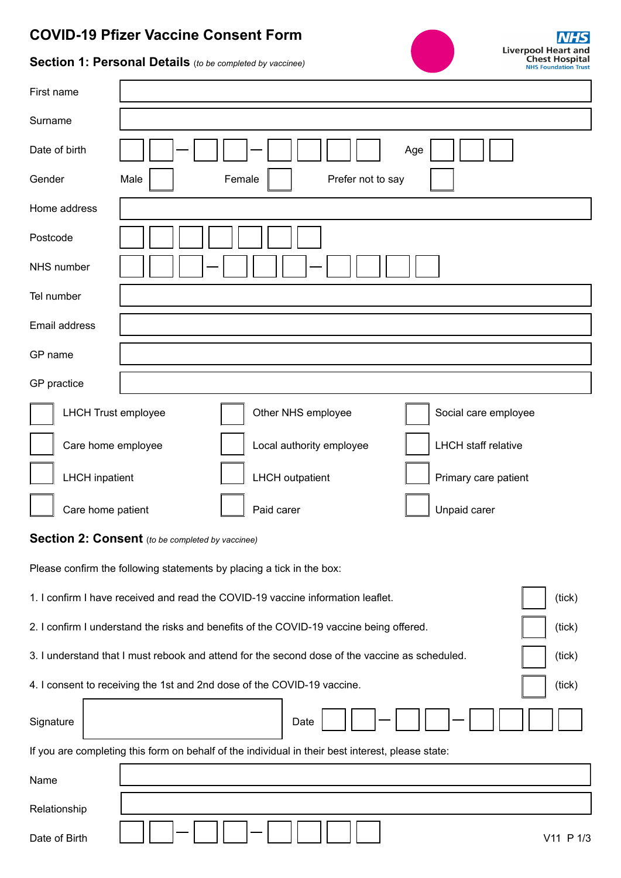## **COVID-19 Pfizer Vaccine Consent Form**



## **Section 1: Personal Details** (*to be completed by vaccinee)*

| First name                                                                                               |                                     |            |                        |     |                      |  |
|----------------------------------------------------------------------------------------------------------|-------------------------------------|------------|------------------------|-----|----------------------|--|
| Surname                                                                                                  |                                     |            |                        |     |                      |  |
| Date of birth                                                                                            |                                     |            |                        | Age |                      |  |
| Gender                                                                                                   | Female<br>Male<br>Prefer not to say |            |                        |     |                      |  |
| Home address                                                                                             |                                     |            |                        |     |                      |  |
| Postcode                                                                                                 |                                     |            |                        |     |                      |  |
| NHS number                                                                                               |                                     |            |                        |     |                      |  |
| Tel number                                                                                               |                                     |            |                        |     |                      |  |
| Email address                                                                                            |                                     |            |                        |     |                      |  |
| GP name                                                                                                  |                                     |            |                        |     |                      |  |
| GP practice                                                                                              |                                     |            |                        |     |                      |  |
| <b>LHCH Trust employee</b>                                                                               |                                     |            | Other NHS employee     |     | Social care employee |  |
| <b>LHCH</b> staff relative<br>Care home employee<br>Local authority employee                             |                                     |            |                        |     |                      |  |
| <b>LHCH</b> inpatient                                                                                    |                                     |            | <b>LHCH</b> outpatient |     | Primary care patient |  |
| Care home patient                                                                                        |                                     | Paid carer |                        |     | Unpaid carer         |  |
| Section 2: Consent (to be completed by vaccinee)                                                         |                                     |            |                        |     |                      |  |
| Please confirm the following statements by placing a tick in the box:                                    |                                     |            |                        |     |                      |  |
| 1. I confirm I have received and read the COVID-19 vaccine information leaflet.<br>(tick)                |                                     |            |                        |     |                      |  |
| 2. I confirm I understand the risks and benefits of the COVID-19 vaccine being offered.<br>(tick)        |                                     |            |                        |     |                      |  |
| 3. I understand that I must rebook and attend for the second dose of the vaccine as scheduled.<br>(tick) |                                     |            |                        |     |                      |  |
| 4. I consent to receiving the 1st and 2nd dose of the COVID-19 vaccine.<br>(tick)                        |                                     |            |                        |     |                      |  |
| Signature                                                                                                |                                     |            | Date                   |     |                      |  |
| If you are completing this form on behalf of the individual in their best interest, please state:        |                                     |            |                        |     |                      |  |
| Name                                                                                                     |                                     |            |                        |     |                      |  |
| Relationship                                                                                             |                                     |            |                        |     |                      |  |

Date of Birth  $V11 P 1/3$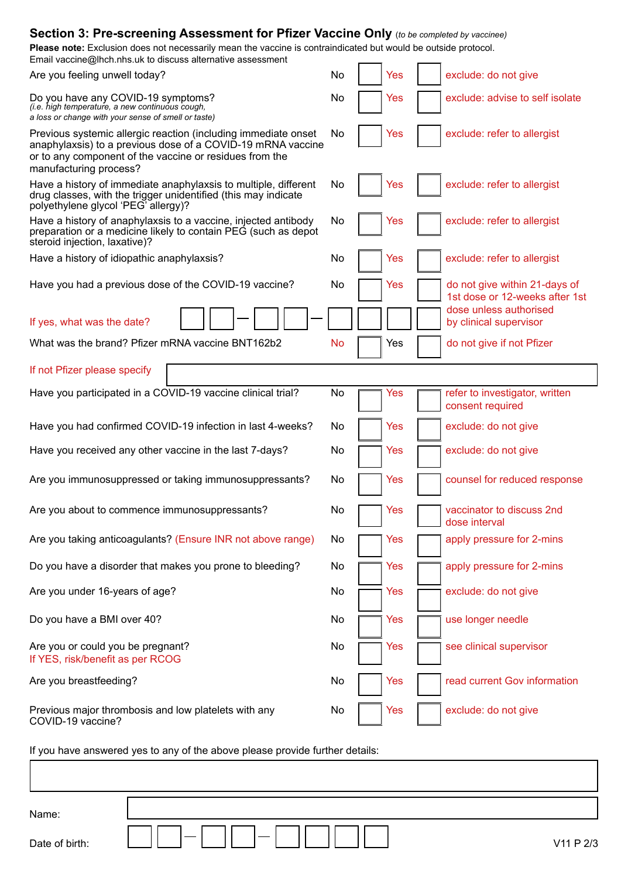| <b>Section 3: Pre-screening Assessment for Pfizer Vaccine Only</b> (to be completed by vaccinee)                                                                                                                   |    |  |            |  |                                                                 |  |
|--------------------------------------------------------------------------------------------------------------------------------------------------------------------------------------------------------------------|----|--|------------|--|-----------------------------------------------------------------|--|
| Please note: Exclusion does not necessarily mean the vaccine is contraindicated but would be outside protocol.<br>Email vaccine@lhch.nhs.uk to discuss alternative assessment                                      |    |  |            |  |                                                                 |  |
| Are you feeling unwell today?                                                                                                                                                                                      | No |  | <b>Yes</b> |  | exclude: do not give                                            |  |
| Do you have any COVID-19 symptoms?<br>(i.e. high temperature, a new continuous cough,<br>a loss or change with your sense of smell or taste)                                                                       | No |  | Yes        |  | exclude: advise to self isolate                                 |  |
| Previous systemic allergic reaction (including immediate onset<br>anaphylaxsis) to a previous dose of a COVID-19 mRNA vaccine<br>or to any component of the vaccine or residues from the<br>manufacturing process? | No |  | Yes        |  | exclude: refer to allergist                                     |  |
| Have a history of immediate anaphylaxsis to multiple, different<br>drug classes, with the trigger unidentified (this may indicate<br>polyethylene glycol 'PEG' allergy)?                                           | No |  | Yes        |  | exclude: refer to allergist                                     |  |
| Have a history of anaphylaxsis to a vaccine, injected antibody<br>preparation or a medicine likely to contain PEG (such as depot<br>steroid injection, laxative)?                                                  | No |  | Yes        |  | exclude: refer to allergist                                     |  |
| Have a history of idiopathic anaphylaxsis?                                                                                                                                                                         | No |  | Yes        |  | exclude: refer to allergist                                     |  |
| Have you had a previous dose of the COVID-19 vaccine?                                                                                                                                                              | No |  | Yes        |  | do not give within 21-days of<br>1st dose or 12-weeks after 1st |  |
| If yes, what was the date?                                                                                                                                                                                         |    |  |            |  | dose unless authorised<br>by clinical supervisor                |  |
| What was the brand? Pfizer mRNA vaccine BNT162b2                                                                                                                                                                   | No |  | Yes        |  | do not give if not Pfizer                                       |  |
| If not Pfizer please specify                                                                                                                                                                                       |    |  |            |  |                                                                 |  |
| Have you participated in a COVID-19 vaccine clinical trial?                                                                                                                                                        | No |  | Yes        |  | refer to investigator, written<br>consent required              |  |
| Have you had confirmed COVID-19 infection in last 4-weeks?                                                                                                                                                         | No |  | Yes        |  | exclude: do not give                                            |  |
| Have you received any other vaccine in the last 7-days?                                                                                                                                                            | No |  | Yes        |  | exclude: do not give                                            |  |
| Are you immunosuppressed or taking immunosuppressants?                                                                                                                                                             | No |  | Yes        |  | counsel for reduced response                                    |  |
| Are you about to commence immunosuppressants?                                                                                                                                                                      | No |  | Yes        |  | vaccinator to discuss 2nd<br>dose interval                      |  |
| Are you taking anticoagulants? (Ensure INR not above range)                                                                                                                                                        | No |  | Yes        |  | apply pressure for 2-mins                                       |  |
| Do you have a disorder that makes you prone to bleeding?                                                                                                                                                           | No |  | Yes        |  | apply pressure for 2-mins                                       |  |
| Are you under 16-years of age?                                                                                                                                                                                     | No |  | Yes        |  | exclude: do not give                                            |  |
| Do you have a BMI over 40?                                                                                                                                                                                         | No |  | Yes        |  | use longer needle                                               |  |
| Are you or could you be pregnant?<br>If YES, risk/benefit as per RCOG                                                                                                                                              | No |  | Yes        |  | see clinical supervisor                                         |  |
| Are you breastfeeding?                                                                                                                                                                                             | No |  | Yes        |  | read current Gov information                                    |  |
| Previous major thrombosis and low platelets with any<br>COVID-19 vaccine?                                                                                                                                          | No |  | Yes        |  | exclude: do not give                                            |  |
| If you have answered ves to any of the above please provide further details:                                                                                                                                       |    |  |            |  |                                                                 |  |

If you have answered yes to any of the above please provide further details:

Name:

Date of birth: V11 P 2/3